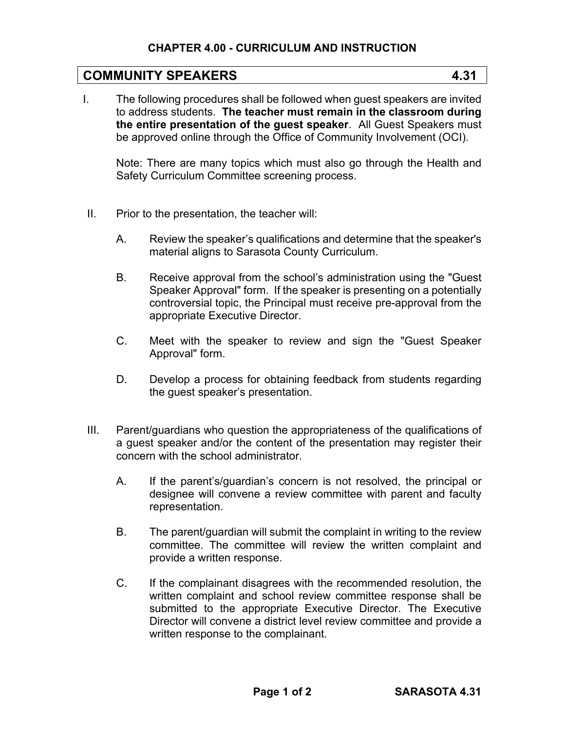## **CHAPTER 4.00 - CURRICULUM AND INSTRUCTION**

## **COMMUNITY SPEAKERS 4.31**

I. The following procedures shall be followed when guest speakers are invited to address students. **The teacher must remain in the classroom during the entire presentation of the guest speaker**. All Guest Speakers must be approved online through the Office of Community Involvement (OCI).

Note: There are many topics which must also go through the Health and Safety Curriculum Committee screening process.

- II. Prior to the presentation, the teacher will:
	- A. Review the speaker's qualifications and determine that the speaker's material aligns to Sarasota County Curriculum.
	- B. Receive approval from the school's administration using the "Guest Speaker Approval" form. If the speaker is presenting on a potentially controversial topic, the Principal must receive pre-approval from the appropriate Executive Director.
	- C. Meet with the speaker to review and sign the "Guest Speaker Approval" form.
	- D. Develop a process for obtaining feedback from students regarding the guest speaker's presentation.
- III. Parent/guardians who question the appropriateness of the qualifications of a guest speaker and/or the content of the presentation may register their concern with the school administrator.
	- A. If the parent's/guardian's concern is not resolved, the principal or designee will convene a review committee with parent and faculty representation.
	- B. The parent/guardian will submit the complaint in writing to the review committee. The committee will review the written complaint and provide a written response.
	- C. If the complainant disagrees with the recommended resolution, the written complaint and school review committee response shall be submitted to the appropriate Executive Director. The Executive Director will convene a district level review committee and provide a written response to the complainant.